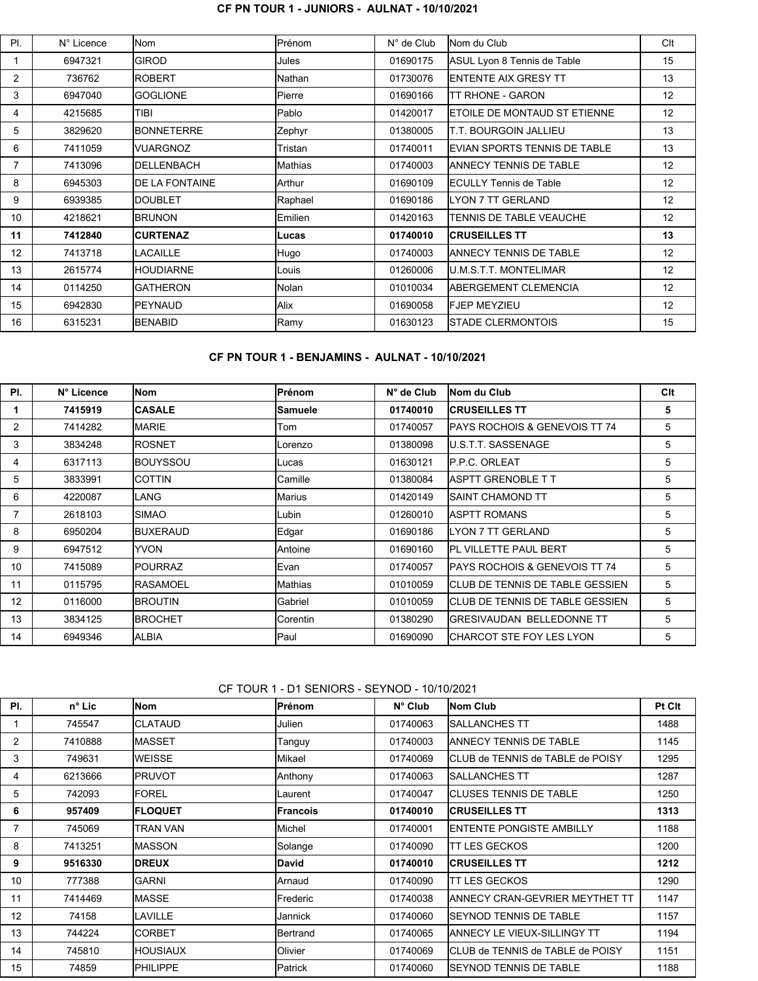#### **CF PN TOUR 1 - JUNIORS - AULNAT - 10/10/2021**

| PL | N° Licence | lNom                   | <b>IPrénom</b>  | $N^{\circ}$ de Club | Nom du Club                          | Clt |
|----|------------|------------------------|-----------------|---------------------|--------------------------------------|-----|
|    | 6947321    | <b>GIROD</b>           | Jules           | 01690175            | ASUL Lyon 8 Tennis de Table          | 15  |
| 2  | 736762     | <b>ROBERT</b>          | lNathan.        | 01730076            | IENTENTE AIX GRESY TT                | 13  |
| 3  | 6947040    | <b>IGOGLIONE</b>       | <b>Pierre</b>   | 01690166            | TT RHONE - GARON                     | 12  |
| 4  | 4215685    | TIBI                   | <b>Pablo</b>    | 01420017            | <b>IETOILE DE MONTAUD ST ETIENNE</b> | 12  |
| 5  | 3829620    | <b>BONNETERRE</b>      | Zephyr          | 01380005            | T.T. BOURGOIN JALLIEU                | 13  |
| 6  | 7411059    | IVUARGNOZ              | Tristan         | 01740011            | EVIAN SPORTS TENNIS DE TABLE         | 13  |
| 7  | 7413096    | <b>IDELLENBACH</b>     | Mathias         | 01740003            | IANNECY TENNIS DE TABLE              | 12  |
| 8  | 6945303    | <b>IDE LA FONTAINE</b> | lArthur         | 01690109            | IFCULLY Tennis de Table              | 12  |
| 9  | 6939385    | IDOUBLET               | Raphael         | 01690186            | <b>LYON 7 TT GERLAND</b>             | 12  |
| 10 | 4218621    | <b>IBRUNON</b>         | <b>IEmilien</b> | 01420163            | TENNIS DE TABLE VEAUCHE              | 12  |
| 11 | 7412840    | <b>CURTENAZ</b>        | lLucas          | 01740010            | <b>ICRUSEILLES TT</b>                | 13  |
| 12 | 7413718    | <b>ILACAILLE</b>       | Hugo            | 01740003            | <b>IANNECY TENNIS DE TABLE</b>       | 12  |
| 13 | 2615774    | <b>IHOUDIARNE</b>      | Louis           | 01260006            | <b>U.M.S.T.T. MONTELIMAR</b>         | 12  |
| 14 | 0114250    | <b>IGATHERON</b>       | <b>Nolan</b>    | 01010034            | <b>IABERGEMENT CLEMENCIA</b>         | 12  |
| 15 | 6942830    | <b>IPEYNAUD</b>        | Alix            | 01690058            | <b>FJEP MEYZIEU</b>                  | 12  |
| 16 | 6315231    | <b>IBENABID</b>        | Ramy            | 01630123            | <b>ISTADE CLERMONTOIS</b>            | 15  |
|    |            |                        |                 |                     |                                      |     |

#### **CF PN TOUR 1 - BENJAMINS - AULNAT - 10/10/2021**

| PI. | N° Licence | lNom             | lPrénom        | $N^{\circ}$ de Club | Nom du Club                               | Clt |
|-----|------------|------------------|----------------|---------------------|-------------------------------------------|-----|
|     | 7415919    | <b>CASALE</b>    | <b>Samuele</b> | 01740010            | <b>ICRUSEILLES TT</b>                     | 5   |
| 2   | 7414282    | <b>IMARIE</b>    | Tom            | 01740057            | <b>IPAYS ROCHOIS &amp; GENEVOIS TT 74</b> | 5   |
| 3   | 3834248    | <b>IROSNET</b>   | Lorenzo        | 01380098            | IU S.T.T. SASSENAGE                       | 5   |
| 4   | 6317113    | <b>IBOUYSSOU</b> | lLucas         | 01630121            | <b>IP.P.C. ORLEAT</b>                     | 5   |
| 5   | 3833991    | ICOTTIN          | Camille        | 01380084            | <b>IASPTT GRENOBLE T T</b>                | 5   |
| 6   | 4220087    | ILANG.           | lMarius        | 01420149            | ISAINT CHAMOND TT                         | 5   |
|     | 2618103    | ISIMAO           | lLubin         | 01260010            | <b>IASPTT ROMANS</b>                      | 5   |
| 8   | 6950204    | <b>BUXERAUD</b>  | <b>Edgar</b>   | 01690186            | <b>ILYON 7 TT GERLAND</b>                 | 5   |
| 9   | 6947512    | <b>YVON</b>      | Antoine        | 01690160            | <b>PL VILLETTE PAUL BERT</b>              | 5   |
| 10  | 7415089    | <b>IPOURRAZ</b>  | Evan           | 01740057            | <b>IPAYS ROCHOIS &amp; GENEVOIS TT 74</b> | 5   |
| 11  | 0115795    | <b>IRASAMOEL</b> | lMathias       | 01010059            | ICLUB DE TENNIS DE TABLE GESSIEN          | 5   |
| 12  | 0116000    | <b>IBROUTIN</b>  | Gabriel        | 01010059            | ICLUB DE TENNIS DE TABLE GESSIEN          | 5   |
| 13  | 3834125    | <b>IBROCHET</b>  | Corentin       | 01380290            | IGRESIVAUDAN BELLEDONNE TT                | 5   |
| 14  | 6949346    | IALBIA           | lPaul          | 01690090            | ICHARCOT STE FOY LES LYON                 | 5   |

# CF TOUR 1 - D1 SENIORS - SEYNOD - 10/10/2021

| PI.               | n° Lic  | Nom            | Prénom   | $N^{\circ}$ Club | Nom Club                          | Pt Cit |
|-------------------|---------|----------------|----------|------------------|-----------------------------------|--------|
|                   | 745547  | ICLATAUD       | Julien   | 01740063         | ISALLANCHES TT                    | 1488   |
| $\overline{2}$    | 7410888 | IMASSET        | Tanguy   | 01740003         | IANNECY TENNIS DE TABLE           | 1145   |
| 3                 | 749631  | <b>WEISSE</b>  | Mikael   | 01740069         | ICLUB de TENNIS de TABLE de POISY | 1295   |
| 4                 | 6213666 | IPRUVOT        | Anthony  | 01740063         | ISALLANCHES TT                    | 1287   |
| 5                 | 742093  | IFOREL         | Laurent  | 01740047         | <b>ICLUSES TENNIS DE TABLE</b>    | 1250   |
| 6                 | 957409  | <b>FLOQUET</b> | Francois | 01740010         | <b>ICRUSEILLES TT</b>             | 1313   |
| 7                 | 745069  | TRAN VAN       | Michel   | 01740001         | <b>IENTENTE PONGISTE AMBILLY</b>  | 1188   |
| 8                 | 7413251 | IMASSON        | Solange  | 01740090         | ITT LES GECKOS                    | 1200   |
| 9                 | 9516330 | <b>DREUX</b>   | David    | 01740010         | <b>ICRUSEILLES TT</b>             | 1212   |
| 10                | 777388  | <b>GARNI</b>   | Arnaud   | 01740090         | TT LES GECKOS                     | 1290   |
| 11                | 7414469 | IMASSE         | Frederic | 01740038         | IANNECY CRAN-GEVRIER MEYTHET TT   | 1147   |
| $12 \overline{ }$ | 74158   | LAVILLE        | Jannick  | 01740060         | ISEYNOD TENNIS DE TABLE           | 1157   |
| 13                | 744224  | ICORBET        | Bertrand | 01740065         | IANNECY LE VIEUX-SILLINGY TT      | 1194   |
| 14                | 745810  | IHOUSIAUX      | Olivier  | 01740069         | ICLUB de TENNIS de TABLE de POISY | 1151   |
| 15                | 74859   | PHILIPPE       | Patrick  | 01740060         | <b>ISEYNOD TENNIS DE TABLE</b>    | 1188   |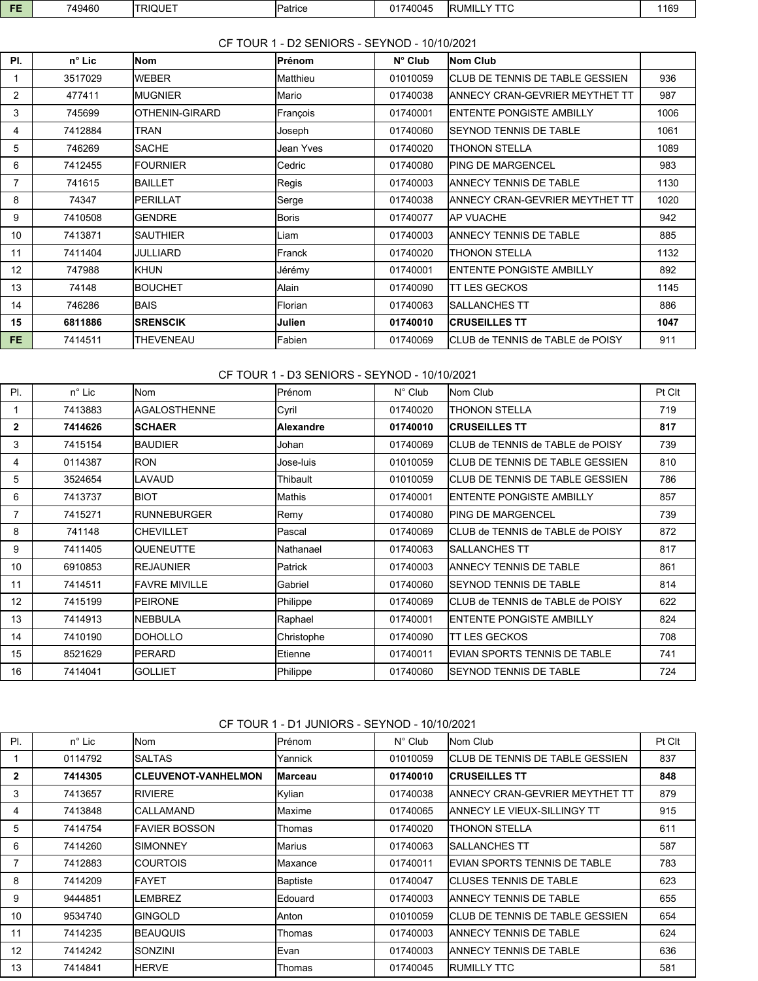| -- | 749460 | <b>ITRIQUET</b> | <b>IPatrice</b> | 01740045 | LY TTC<br><b>IRUMILI</b> | 1169 |
|----|--------|-----------------|-----------------|----------|--------------------------|------|
|    |        |                 |                 |          |                          |      |

## CF TOUR 1 - D2 SENIORS - SEYNOD - 10/10/2021

| PI.            | $n^{\circ}$ Lic | Nom              | lPrénom   | $N^{\circ}$ Club | <b>Nom Club</b>                          |      |
|----------------|-----------------|------------------|-----------|------------------|------------------------------------------|------|
| 1              | 3517029         | <b>WEBER</b>     | lMatthieu | 01010059         | ICLUB DE TENNIS DE TABLE GESSIEN         | 936  |
| $\overline{2}$ | 477411          | <b>IMUGNIER</b>  | lMario    | 01740038         | ANNECY CRAN-GEVRIER MEYTHET TT           | 987  |
| 3              | 745699          | IOTHENIN-GIRARD  | François  | 01740001         | <b>ENTENTE PONGISTE AMBILLY</b>          | 1006 |
| 4              | 7412884         | TRAN             | Joseph    | 01740060         | SEYNOD TENNIS DE TABLE                   | 1061 |
| 5              | 746269          | <b>SACHE</b>     | Jean Yves | 01740020         | THONON STELLA                            | 1089 |
| 6              | 7412455         | <b>IFOURNIER</b> | Cedric    | 01740080         | PING DE MARGENCEL                        | 983  |
| 7              | 741615          | IBAILLET         | Regis     | 01740003         | ANNECY TENNIS DE TABLE                   | 1130 |
| 8              | 74347           | IPERILLAT        | Serge     | 01740038         | ANNECY CRAN-GEVRIER MEYTHET TT           | 1020 |
| 9              | 7410508         | <b>IGENDRE</b>   | lBoris l  | 01740077         | <b>AP VUACHE</b>                         | 942  |
| 10             | 7413871         | ISAUTHIER        | Liam      | 01740003         | <b>ANNECY TENNIS DE TABLE</b>            | 885  |
| 11             | 7411404         | JULLIARD         | Franck    | 01740020         | THONON STELLA                            | 1132 |
| 12             | 747988          | <b>KHUN</b>      | Jérémy    | 01740001         | <b>ENTENTE PONGISTE AMBILLY</b>          | 892  |
| 13             | 74148           | IBOUCHET         | Alain     | 01740090         | <b>TT LES GECKOS</b>                     | 1145 |
| 14             | 746286          | <b>BAIS</b>      | Florian   | 01740063         | <b>SALLANCHES TT</b>                     | 886  |
| 15             | 6811886         | <b>SRENSCIK</b>  | Julien    | 01740010         | <b>CRUSEILLES TT</b>                     | 1047 |
| FE.            | 7414511         | <b>THEVENEAU</b> | lFabien.  | 01740069         | <b>ICLUB de TENNIS de TABLE de POISY</b> | 911  |

# CF TOUR 1 - D3 SENIORS - SEYNOD - 10/10/2021

| PL             | $n^{\circ}$ Lic | Nom                | Prénom      | $N^{\circ}$ Club | Nom Club                             | Pt Clt |
|----------------|-----------------|--------------------|-------------|------------------|--------------------------------------|--------|
|                | 7413883         | IAGALOSTHENNE      | Cyril       | 01740020         | <b>THONON STELLA</b>                 | 719    |
| $\mathbf{2}$   | 7414626         | <b>SCHAER</b>      | Alexandre   | 01740010         | <b>ICRUSEILLES TT</b>                | 817    |
| 3              | 7415154         | IBAUDIER           | Johan       | 01740069         | ICLUB de TENNIS de TABLE de POISY    | 739    |
| 4              | 0114387         | <b>RON</b>         | Jose-luis   | 01010059         | ICLUB DE TENNIS DE TABLE GESSIEN     | 810    |
| 5              | 3524654         | LAVAUD             | Thibault    | 01010059         | ICLUB DE TENNIS DE TABLE GESSIEN     | 786    |
| 6              | 7413737         | <b>BIOT</b>        | Mathis      | 01740001         | <b>IENTENTE PONGISTE AMBILLY</b>     | 857    |
| $\overline{7}$ | 7415271         | <b>RUNNEBURGER</b> | <b>Remy</b> | 01740080         | IPING DE MARGENCEL                   | 739    |
| 8              | 741148          | <b>CHEVILLET</b>   | Pascal      | 01740069         | ICLUB de TENNIS de TABLE de POISY    | 872    |
| 9              | 7411405         | QUENEUTTE          | Nathanael   | 01740063         | ISALLANCHES TT                       | 817    |
| 10             | 6910853         | <b>IREJAUNIER</b>  | Patrick     | 01740003         | <b>ANNECY TENNIS DE TABLE</b>        | 861    |
| 11             | 7414511         | IFAVRE MIVILLE     | Gabriel     | 01740060         | <b>ISEYNOD TENNIS DE TABLE</b>       | 814    |
| 12             | 7415199         | <b>PEIRONE</b>     | Philippe    | 01740069         | ICLUB de TENNIS de TABLE de POISY    | 622    |
| 13             | 7414913         | NEBBULA            | Raphael     | 01740001         | <b>IENTENTE PONGISTE AMBILLY</b>     | 824    |
| 14             | 7410190         | <b>DOHOLLO</b>     | Christophe  | 01740090         | ITT LES GECKOS                       | 708    |
| 15             | 8521629         | <b>PERARD</b>      | Etienne     | 01740011         | <b>IEVIAN SPORTS TENNIS DE TABLE</b> | 741    |
| 16             | 7414041         | <b>GOLLIET</b>     | Philippe    | 01740060         | <b>ISEYNOD TENNIS DE TABLE</b>       | 724    |

CF TOUR 1 - D1 JUNIORS - SEYNOD - 10/10/2021

| PI. | $n^{\circ}$ Lic | Nom                         | Prénom          | $N^{\circ}$ Club | <b>Nom Club</b>                      | Pt Clt |
|-----|-----------------|-----------------------------|-----------------|------------------|--------------------------------------|--------|
|     | 0114792         | ISALTAS                     | Yannick         | 01010059         | ICLUB DE TENNIS DE TABLE GESSIEN     | 837    |
| 2   | 7414305         | <b>ICLEUVENOT-VANHELMON</b> | lMarceau        | 01740010         | <b>CRUSEILLES TT</b>                 | 848    |
| 3   | 7413657         | <b>IRIVIERE</b>             | Kylian          | 01740038         | IANNECY CRAN-GEVRIER MEYTHET TT      | 879    |
| 4   | 7413848         | ICALLAMAND                  | Maxime          | 01740065         | <b>ANNECY LE VIEUX-SILLINGY TT</b>   | 915    |
| 5   | 7414754         | IFAVIER BOSSON              | Thomas          | 01740020         | THONON STELLA                        | 611    |
| 6   | 7414260         | ISIMONNEY                   | Marius          | 01740063         | ISALLANCHES TT                       | 587    |
| 7   | 7412883         | ICOURTOIS                   | Maxance         | 01740011         | <b>IEVIAN SPORTS TENNIS DE TABLE</b> | 783    |
| 8   | 7414209         | IFAYET                      | <b>Baptiste</b> | 01740047         | ICLUSES TENNIS DE TABLE              | 623    |
| 9   | 9444851         | <b>LEMBREZ</b>              | <b>IEdouard</b> | 01740003         | <b>IANNECY TENNIS DE TABLE</b>       | 655    |
| 10  | 9534740         | IGINGOLD                    | Anton           | 01010059         | ICLUB DE TENNIS DE TABLE GESSIEN     | 654    |
| 11  | 7414235         | IBEAUQUIS                   | Thomas          | 01740003         | IANNECY TENNIS DE TABLE              | 624    |
| 12  | 7414242         | ISONZINI                    | <b>IEvan</b>    | 01740003         | <b>IANNECY TENNIS DE TABLE</b>       | 636    |
| 13  | 7414841         | <b>IHERVE</b>               | Thomas          | 01740045         | <b>RUMILLY TTC</b>                   | 581    |